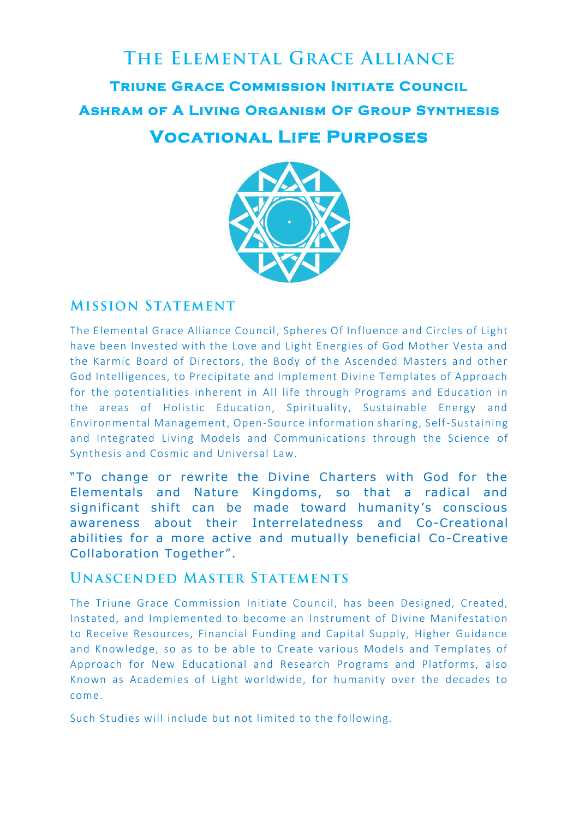# THE ELEMENTAL GRACE ALLIANCE **TRIUNE GRACE COMMISSION INITIATE COUNCIL Ashram of A Living Organism Of Group Synthesis Vocational Life Purposes**



### **MISSION STATEMENT**

The Elemental Grace Alliance Council, Spheres Of Influence and Circles of Light have been Invested with the Love and Light Energies of God Mother Vesta and the Karmic Board of Directors, the Body of the Ascended Masters and other God Intelligences, to Precipitate and Implement Divine Templates of Approach for the potentialities inherent in All life through Programs and Education in the areas of Holistic Education, Spirituality, Sustainable Energy and Environmental Management, Open-Source information sharing, Self-Sustaining and Integrated Living Models and Communications through the Science of Synthesis and Cosmic and Universal Law.

"To change or rewrite the Divine Charters with God for the Elementals and Nature Kingdoms, so that a radical and significant shift can be made toward humanity's conscious awareness about their Interrelatedness and Co-Creational abilities for a more active and mutually beneficial Co-Creative Collaboration Together".

### **UNASCENDED MASTER STATEMENTS**

The Triune Grace Commission Initiate Council, has been Designed, Created, Instated, and Implemented to become an Instrument of Divine Manifestation to Receive Resources, Financial Funding and Capital Supply, Higher Guidance and Knowledge, so as to be able to Create various Models and Templates of Approach for New Educational and Research Programs and Platforms, also Known as Academies of Light worldwide, for humanity over the decades to come.

Such Studies will include but not limited to the following.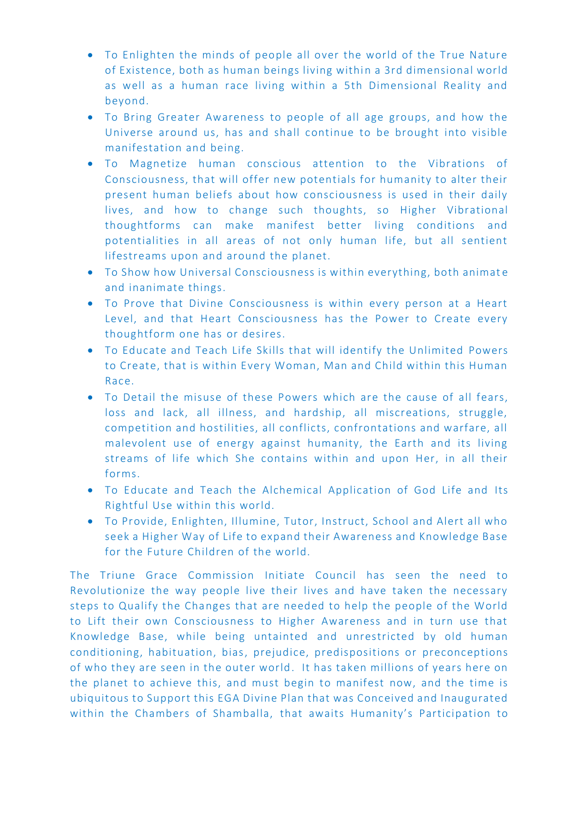- To Enlighten the minds of people all over the world of the True Nature of Existence, both as human beings living within a 3rd dimensional world as well as a human race living within a 5th Dimensional Reality and beyond.
- To Bring Greater Awareness to people of all age groups, and how the Universe around us, has and shall continue to be brought into visible manifestation and being.
- To Magnetize human conscious attention to the Vibrations of Consciousness, that will offer new potentials for humanity to alter their present human beliefs about how consciousness is used in their daily lives, and how to change such thoughts, so Higher Vibrational thoughtforms can make manifest better living conditions and potentialities in all areas of not only human life, but all sentient lifestreams upon and around the planet.
- To Show how Universal Consciousness is within everything, both animat e and inanimate things.
- To Prove that Divine Consciousness is within every person at a Heart Level, and that Heart Consciousness has the Power to Create every thoughtform one has or desires.
- To Educate and Teach Life Skills that will identify the Unlimited Powers to Create, that is within Every Woman, Man and Child within this Human Race.
- To Detail the misuse of these Powers which are the cause of all fears, loss and lack, all illness, and hardship, all miscreations, struggle, competition and hostilities, all conflicts, confrontations and warfare, all malevolent use of energy against humanity, the Earth and its living streams of life which She contains within and upon Her, in all their forms.
- To Educate and Teach the Alchemical Application of God Life and Its Rightful Use within this world.
- To Provide, Enlighten, Illumine, Tutor, Instruct, School and Alert all who seek a Higher Way of Life to expand their Awareness and Knowledge Base for the Future Children of the world.

The Triune Grace Commission Initiate Council has seen the need to Revolutionize the way people live their lives and have taken the necessary steps to Qualify the Changes that are needed to help the people of the World to Lift their own Consciousness to Higher Awareness and in turn use that Knowledge Base, while being untainted and unrestricted by old human conditioning, habituation, bias, prejudice, predispositions or preconceptions of who they are seen in the outer world. It has taken millions of years here on the planet to achieve this, and must begin to manifest now, and the time is ubiquitous to Support this EGA Divine Plan that was Conceived and Inaugurated within the Chambers of Shamballa, that awaits Humanity's Participation to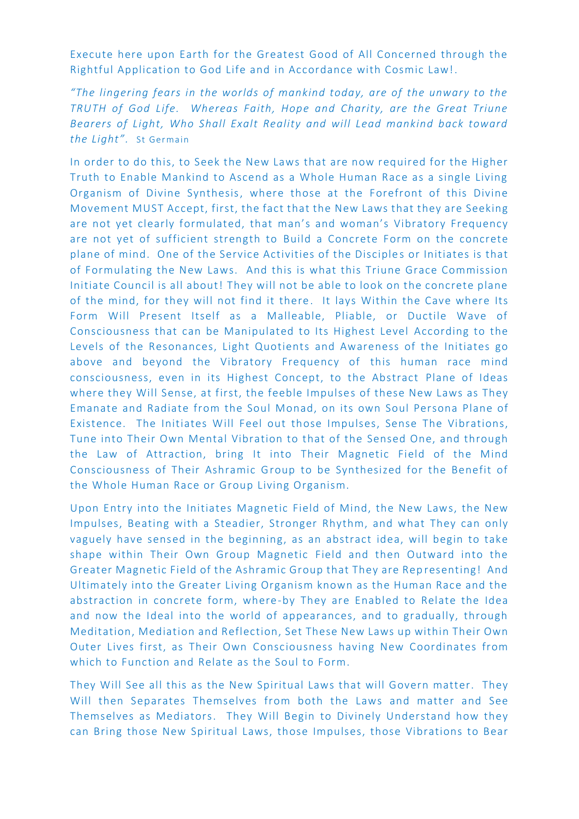Execute here upon Earth for the Greatest Good of All Concerned through the Rightful Application to God Life and in Accordance with Cosmic Law!.

*"The lingering fears in the worlds of mankind today, are of the unwary to the TRUTH of God Life. Whereas Faith, Hope and Charity, are the Great Triune Bearers of Light, Who Shall Exalt Reality and will Lead mankind back toward the Light".* St Germain

In order to do this, to Seek the New Laws that are now required for the Higher Truth to Enable Mankind to Ascend as a Whole Human Race as a single Living Organism of Divine Synthesis, where those at the Forefront of this Divine Movement MUST Accept, first, the fact that the New Laws that they are Seeking are not yet clearly formulated, that man's and woman's Vibratory Frequency are not yet of sufficient strength to Build a Concrete Form on the concrete plane of mind. One of the Service Activities of the Disciple s or Initiates is that of Formulating the New Laws. And this is what this Triune Grace Commission Initiate Council is all about! They will not be able to look on the concrete plane of the mind, for they will not find it there. It lays Within the Cave where Its Form Will Present Itself as a Malleable, Pliable, or Ductile Wave of Consciousness that can be Manipulated to Its Highest Level According to the Levels of the Resonances, Light Quotients and Awareness of the Initiates go above and beyond the Vibratory Frequency of this human race mind consciousness, even in its Highest Concept, to the Abstract Plane of Ideas where they Will Sense, at first, the feeble Impulses of these New Laws as They Emanate and Radiate from the Soul Monad, on its own Soul Persona Plane of Existence. The Initiates Will Feel out those Impulses, Sense The Vibrations, Tune into Their Own Mental Vibration to that of the Sensed One, and through the Law of Attraction, bring It into Their Magnetic Field of the Mind Consciousness of Their Ashramic Group to be Synthesized for the Benefit of the Whole Human Race or Group Living Organism.

Upon Entry into the Initiates Magnetic Field of Mind, the New Laws, the New Impulses, Beating with a Steadier, Stronger Rhythm, and what They can only vaguely have sensed in the beginning, as an abstract idea, will begin to take shape within Their Own Group Magnetic Field and then Outward into the Greater Magnetic Field of the Ashramic Group that They are Rep resenting! And Ultimately into the Greater Living Organism known as the Human Race and the abstraction in concrete form, where-by They are Enabled to Relate the Idea and now the Ideal into the world of appearances, and to gradually, through Meditation, Mediation and Reflection, Set These New Laws up within Their Own Outer Lives first, as Their Own Consciousness having New Coordinates from which to Function and Relate as the Soul to Form.

They Will See all this as the New Spiritual Laws that will Govern matter. They Will then Separates Themselves from both the Laws and matter and See Themselves as Mediators. They Will Begin to Divinely Understand how they can Bring those New Spiritual Laws, those Impulses, those Vibrations to Bear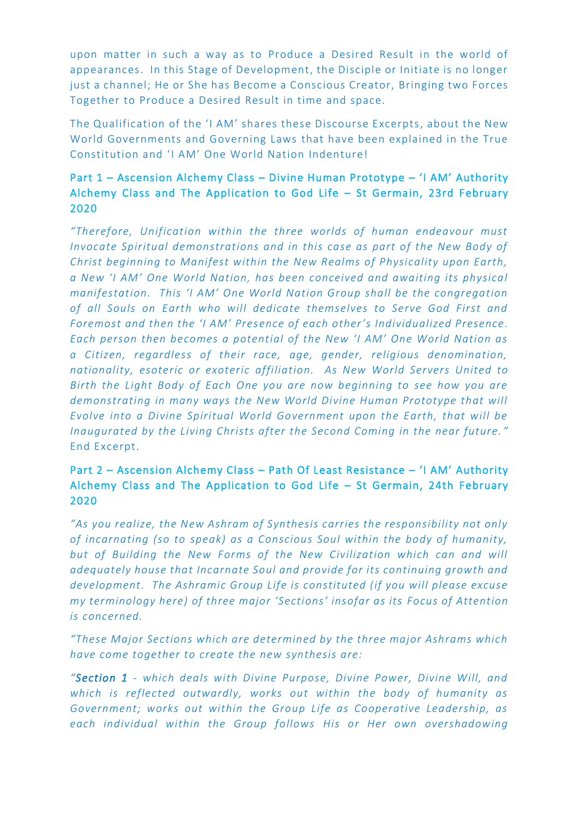upon matter in such a way as to Produce a Desired Result in the world of appearances. In this Stage of Development, the Disciple or Initiate is no longer just a channel; He or She has Become a Conscious Creator, Bringing two Forces Together to Produce a Desired Result in time and space.

The Qualification of the 'I AM' shares these Discourse Excerpts, about the New World Governments and Governing Laws that have been explained in the True Constitution and 'I AM' One World Nation Indenture!

### Part 1 – Ascension Alchemy Class – Divine Human Prototype – 'I AM' Authority Alchemy Class and The Application to God Life – St Germain, 23rd February 2020

*"Therefore, Unification within the three worlds of human endeavour must Invocate Spiritual demonstrations and in this case as part of the New Body of Christ beginning to Manifest within the New Realms of Physicality upon Earth, a New 'I AM' One World Nation, has been conceived and awaiting its physical manifestation. This 'I AM' One World Nation Group shall be the congregation of all Souls on Earth who will dedicate themselves to Serve God First and Foremost and then the 'I AM' Presence of each other's Individualized Presence. Each person then becomes a potential of the New 'I AM' One World Nation as a Citizen, regardless of their race, age, gender, religious denomination, nationality, esoteric or exoteric affiliation. As New World Servers United to Birth the Light Body of Each One you are now beginning to see how you are demonstrating in many ways the New World Divine Human Prototype that will Evolve into a Divine Spiritual World Government upon the Earth, that will be Inaugurated by the Living Christs after the Second Coming in the near future. "* End Excerpt.

### Part 2 – Ascension Alchemy Class – Path Of Least Resistance – 'I AM' Authority Alchemy Class and The Application to God Life – St Germain, 24th February 2020

*"As you realize, the New Ashram of Synthesis carries the responsibility not only of incarnating (so to speak) as a Conscious Soul within the body of humanity, but of Building the New Forms of the New Civilization which can and will adequately house that Incarnate Soul and provide for its continuing growth and development. The Ashramic Group Life is constituted (if you will please excuse my terminology here) of three major 'Sections' insofar as its Focus of Attention is concerned.*

*"These Major Sections which are determined by the three major Ashrams which have come together to create the new synthesis are:*

*"Section 1 - which deals with Divine Purpose, Divine Power, Divine Will, and which is reflected outwardly, works out within the body of humanity as Government; works out within the Group Life as Cooperative Leadership, as each individual within the Group follows His or Her own overshadowing*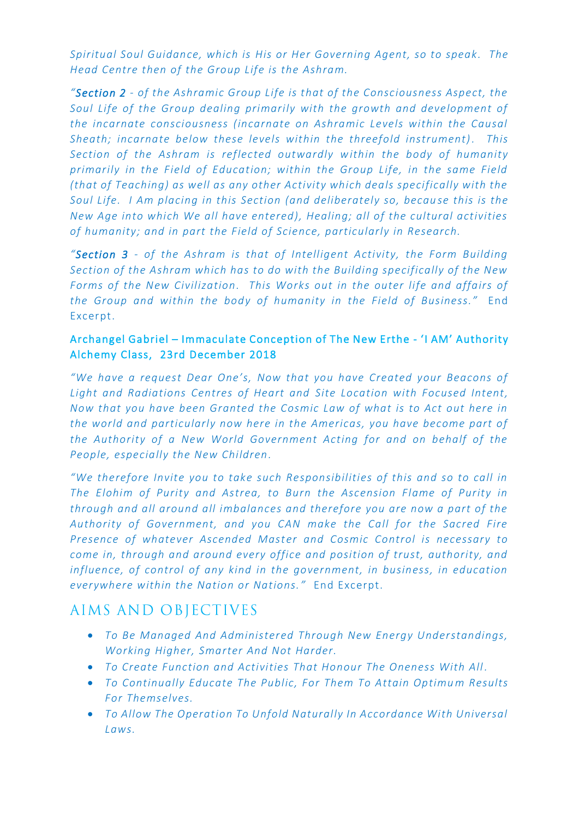*Spiritual Soul Guidance, which is His or Her Governing Agent, so to speak . The Head Centre then of the Group Life is the Ashram.*

*"Section 2 - of the Ashramic Group Life is that of the Consciousness Aspect, the Soul Life of the Group dealing primarily with the growth and development of the incarnate consciousness (incarnate on Ashramic Levels within the Causal Sheath; incarnate below these levels within the threefold instrument) . This Section of the Ashram is reflected outwardly within the body of humanity primarily in the Field of Education; within the Group Life, in the same Field (that of Teaching) as well as any other Activity which deals specifically with the Soul Life.* I Am placing in this Section (and deliberately so, because this is the *New Age into which We all have entered), Healing; all of the cultural activities of humanity; and in part the Field of Science, particularly in Research.*

*"Section 3 - of the Ashram is that of Intelligent Activity, the Form Building Section of the Ashram which has to do with the Building specifically of the New Forms of the New Civilization. This Works out in the outer life and affairs of the Group and within the body of humanity in the Field of Business."* End Excerpt.

### Archangel Gabriel – Immaculate Conception of The New Erthe - 'I AM' Authority Alchemy Class, 23rd December 2018

*"We have a request Dear One's, Now that you have Created your Beacons of Light and Radiations Centres of Heart and Site Location with Focused Intent, Now that you have been Granted the Cosmic Law of what is to Act out here in the world and particularly now here in the Americas, you have become part of the Authority of a New World Government Acting for and on behalf of the People, especially the New Children.* 

*"We therefore Invite you to take such Responsibilities of this and so to call in The Elohim of Purity and Astrea, to Burn the Ascension Flame of Purity in through and all around all imbalances and therefore you are now a part of the Authority of Government, and you CAN make the Call for the Sacred Fire Presence of whatever Ascended Master and Cosmic Control is necessary to come in, through and around every office and position of trust, authority, and influence, of control of any kind in the government, in business, in education everywhere within the Nation or Nations. "* End Excerpt.

## AIMS AND OBJECTIVES

- *To Be Managed And Administered Through New Energy Understandings, Working Higher, Smarter And Not Harder.*
- *To Create Function and Activities That Honour The Oneness With All .*
- *To Continually Educate The Public, For Them To Attain Optimum Results For Themselves.*
- *To Allow The Operation To Unfold Naturally In Accordance With Universal Laws.*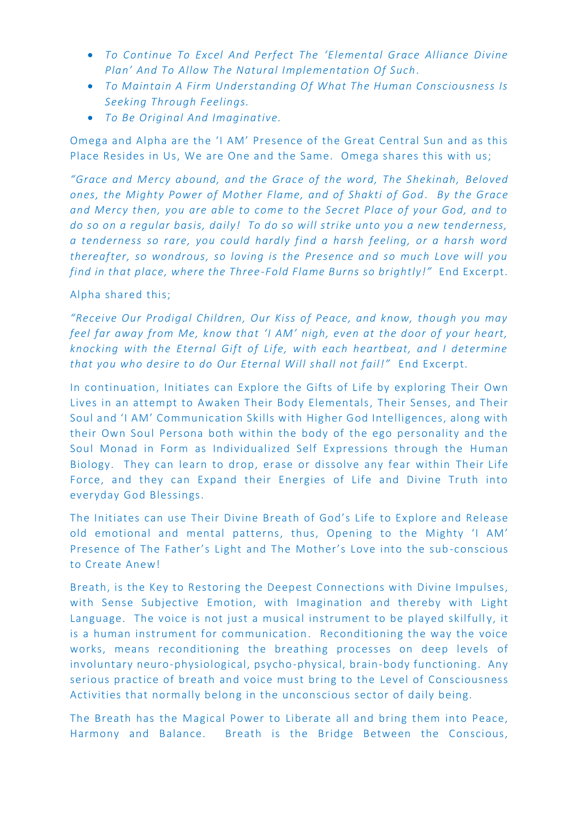- *To Continue To Excel And Perfect The 'Elemental Grace Alliance Divine Plan' And To Allow The Natural Implementation Of Such .*
- *To Maintain A Firm Understanding Of What The Human Consciousness Is Seeking Through Feelings.*
- *To Be Original And Imaginative.*

Omega and Alpha are the 'I AM' Presence of the Great Central Sun and as this Place Resides in Us, We are One and the Same. Omega shares this with us;

*"Grace and Mercy abound, and the Grace of the word, The Shekinah, Beloved ones, the Mighty Power of Mother Flame, and of Shakti of God . By the Grace and Mercy then, you are able to come to the Secret Place of your God, and to do so on a regular basis, daily! To do so will strike unto you a new tenderness, a tenderness so rare, you could hardly find a harsh feeling, or a harsh word thereafter, so wondrous, so loving is the Presence and so much Love will you find in that place, where the Three-Fold Flame Burns so brightly!"* End Excerpt.

#### Alpha shared this;

*"Receive Our Prodigal Children, Our Kiss of Peace, and know, though you may feel far away from Me, know that 'I AM' nigh, even at the door of your heart, knocking with the Eternal Gift of Life, with each heartbeat, and I determine that you who desire to do Our Eternal Will shall not fail!"* End Excerpt.

In continuation, Initiates can Explore the Gifts of Life by exploring Their Own Lives in an attempt to Awaken Their Body Elementals, Their Senses, and Their Soul and 'I AM' Communication Skills with Higher God Intelligences, along with their Own Soul Persona both within the body of the ego personality and the Soul Monad in Form as Individualized Self Expressions through the Human Biology. They can learn to drop, erase or dissolve any fear within Their Life Force, and they can Expand their Energies of Life and Divine Truth into everyday God Blessings.

The Initiates can use Their Divine Breath of God's Life to Explore and Release old emotional and mental patterns, thus, Opening to the Mighty 'I AM' Presence of The Father's Light and The Mother's Love into the sub -conscious to Create Anew!

Breath, is the Key to Restoring the Deepest Connections with Divine Impulses, with Sense Subjective Emotion, with Imagination and thereby with Light Language. The voice is not just a musical instrument to be played skilfully, it is a human instrument for communication. Reconditioning the way the voice works, means reconditioning the breathing processes on deep levels of involuntary neuro-physiological, psycho-physical, brain-body functioning. Any serious practice of breath and voice must bring to the Level of Consciousness Activities that normally belong in the unconscious sector of daily being.

The Breath has the Magical Power to Liberate all and bring them into Peace, Harmony and Balance. Breath is the Bridge Between the Conscious,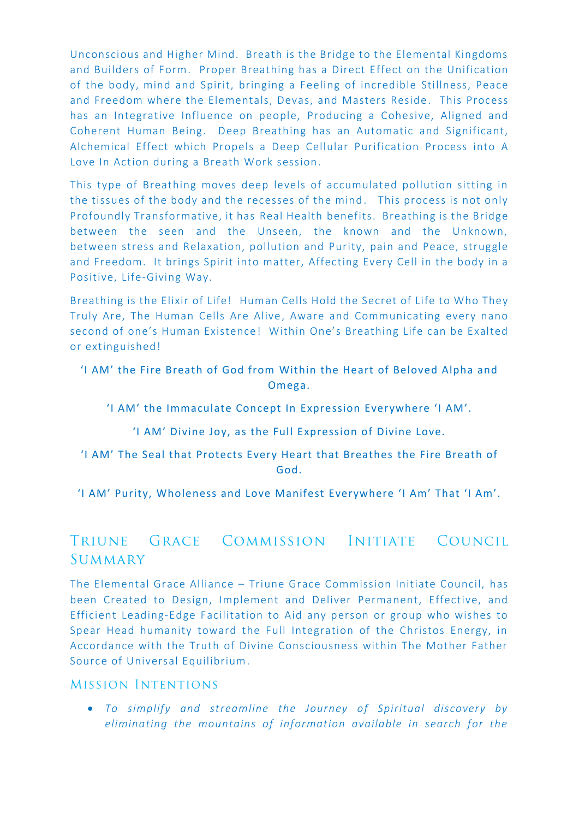Unconscious and Higher Mind. Breath is the Bridge to the Elemental Kingdoms and Builders of Form. Proper Breathing has a Direct Effect on the Unification of the body, mind and Spirit, bringing a Feeling of incredible Stillness, Peace and Freedom where the Elementals, Devas, and Masters Reside . This Process has an Integrative Influence on people, Producing a Cohesive, Aligned and Coherent Human Being. Deep Breathing has an Automatic and Significant, Alchemical Effect which Propels a Deep Cellular Purification Process into A Love In Action during a Breath Work session.

This type of Breathing moves deep levels of accumulated pollution sitting in the tissues of the body and the recesses of the mind. This process is not only Profoundly Transformative, it has Real Health benefits. Breathing is the Bridge between the seen and the Unseen, the known and the Unknown, between stress and Relaxation, pollution and Purity, pain and Peace, struggle and Freedom. It brings Spirit into matter, Affecting Every Cell in the body in a Positive, Life-Giving Way.

Breathing is the Elixir of Life! Human Cells Hold the Secret of Life to Who They Truly Are, The Human Cells Are Alive, Aware and Communicating every nano second of one's Human Existence! Within One's Breathing Life can be Exalted or extinguished!

### 'I AM' the Fire Breath of God from Within the Heart of Beloved Alpha and Omega.

- 'I AM' the Immaculate Concept In Expression Everywhere 'I AM'.
	- 'I AM' Divine Joy, as the Full Expression of Divine Love.
- 'I AM' The Seal that Protects Every Heart that Breathes the Fire Breath of God.

'I AM' Purity, Wholeness and Love Manifest Everywhere 'I Am' That 'I Am'.

### TRIUNE GRACE COMMISSION INITIATE COUNCIL SUMMARY

The Elemental Grace Alliance – Triune Grace Commission Initiate Council, has been Created to Design, Implement and Deliver Permanent, Effective, and Efficient Leading-Edge Facilitation to Aid any person or group who wishes to Spear Head humanity toward the Full Integration of the Christos Energy, in Accordance with the Truth of Divine Consciousness within The Mother Father Source of Universal Equilibrium.

#### **MISSION INTENTIONS**

• *To simplify and streamline the Journey of Spiritual discovery by eliminating the mountains of information available in search for the*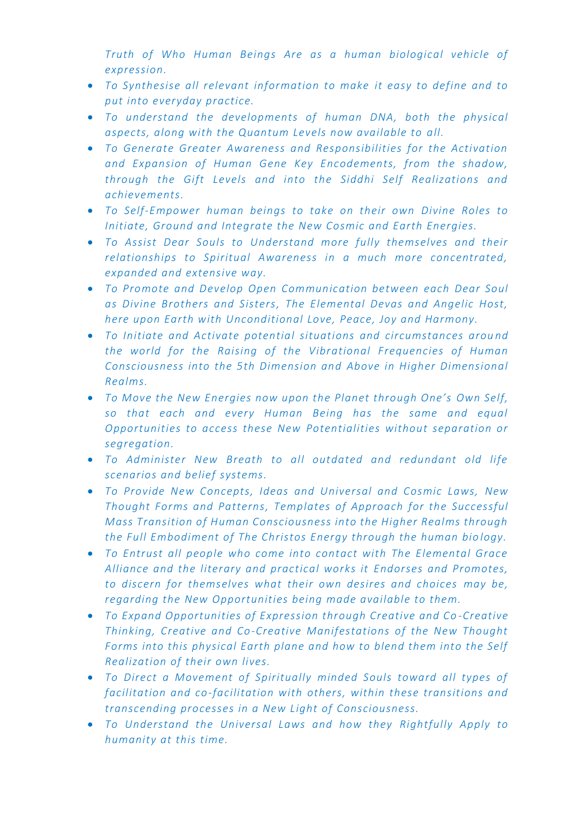*Truth of Who Human Beings Are as a human biological vehicle of expression.*

- *To Synthesise all relevant information to make it easy to define and to put into everyday practice.*
- *To understand the developments of human DNA, both the physical aspects, along with the Quantum Levels now available to all.*
- *To Generate Greater Awareness and Responsibilities for the Activation and Expansion of Human Gene Key Encodements, from the shadow, through the Gift Levels and into the Siddhi Self Realizations and achievements.*
- *To Self-Empower human beings to take on their own Divine Roles to Initiate, Ground and Integrate the New Cosmic and Earth Energies.*
- *To Assist Dear Souls to Understand more fully themselves and their relationships to Spiritual Awareness in a much more concentrated, expanded and extensive way.*
- *To Promote and Develop Open Communication between each Dear Soul as Divine Brothers and Sisters, The Elemental Devas and Angelic Host, here upon Earth with Unconditional Love, Peace, Joy and Harmony.*
- *To Initiate and Activate potential situations and circumstances arou nd the world for the Raising of the Vibrational Frequencies of Human Consciousness into the 5th Dimension and Above in Higher Dimensional Realms.*
- *To Move the New Energies now upon the Planet through One's Own Self, so that each and every Human Being has the same and equal Opportunities to access these New Potentialities without separation or segregation.*
- *To Administer New Breath to all outdated and redundant old life scenarios and belief systems.*
- *To Provide New Concepts, Ideas and Universal and Cosmic Laws, New Thought Forms and Patterns, Templates of Approach for the Successful Mass Transition of Human Consciousness into the Higher Realms through the Full Embodiment of The Christos Energy through the human biology.*
- *To Entrust all people who come into contact with The Elemental Grace Alliance and the literary and practical works it Endorses and Promotes, to discern for themselves what their own desires and choices may be, regarding the New Opportunities being made available to them.*
- *To Expand Opportunities of Expression through Creative and Co -Creative Thinking, Creative and Co-Creative Manifestations of the New Thought Forms into this physical Earth plane and how to blend them into the Self Realization of their own lives.*
- *To Direct a Movement of Spiritually minded Souls toward all types of facilitation and co-facilitation with others, within these transitions and transcending processes in a New Light of Consciousness.*
- *To Understand the Universal Laws and how they Rightfully Apply to humanity at this time.*